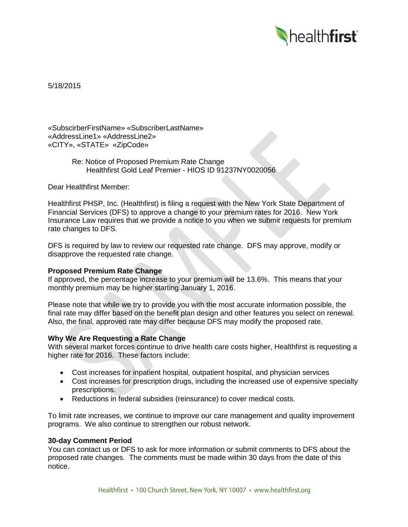

5/18/2015

«SubscirberFirstName» «SubscriberLastName» «AddressLine1» «AddressLine2» «CITY», «STATE» «ZipCode»

> Re: Notice of Proposed Premium Rate Change Healthfirst Gold Leaf Premier - HIOS ID 91237NY0020056

Dear Healthfirst Member:

Healthfirst PHSP, Inc. (Healthfirst) is filing a request with the New York State Department of Financial Services (DFS) to approve a change to your premium rates for 2016. New York Insurance Law requires that we provide a notice to you when we submit requests for premium rate changes to DFS.

DFS is required by law to review our requested rate change. DFS may approve, modify or disapprove the requested rate change.

# **Proposed Premium Rate Change**

If approved, the percentage increase to your premium will be 13.6%. This means that your monthly premium may be higher starting January 1, 2016.

Please note that while we try to provide you with the most accurate information possible, the final rate may differ based on the benefit plan design and other features you select on renewal. Also, the final, approved rate may differ because DFS may modify the proposed rate.

## **Why We Are Requesting a Rate Change**

With several market forces continue to drive health care costs higher, Healthfirst is requesting a higher rate for 2016. These factors include:

- Cost increases for inpatient hospital, outpatient hospital, and physician services
- Cost increases for prescription drugs, including the increased use of expensive specialty prescriptions.
- Reductions in federal subsidies (reinsurance) to cover medical costs.

To limit rate increases, we continue to improve our care management and quality improvement programs. We also continue to strengthen our robust network.

#### **30-day Comment Period**

You can contact us or DFS to ask for more information or submit comments to DFS about the proposed rate changes. The comments must be made within 30 days from the date of this notice.